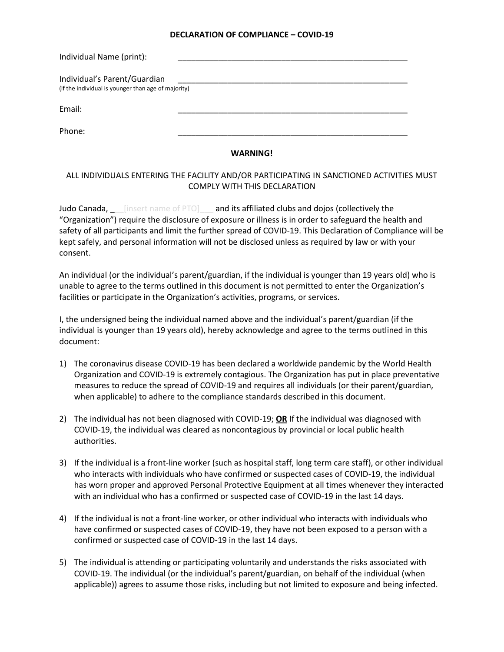## **DECLARATION OF COMPLIANCE – COVID-19**

| Individual Name (print):                                                            |  |
|-------------------------------------------------------------------------------------|--|
| Individual's Parent/Guardian<br>(if the individual is younger than age of majority) |  |
| Email:                                                                              |  |
| Phone:                                                                              |  |

## **WARNING!**

## ALL INDIVIDUALS ENTERING THE FACILITY AND/OR PARTICIPATING IN SANCTIONED ACTIVITIES MUST COMPLY WITH THIS DECLARATION

Judo Canada, *Lansian Canada Canada is affiliated clubs and dojos (collectively the* "Organization") require the disclosure of exposure or illness is in order to safeguard the health and safety of all participants and limit the further spread of COVID-19. This Declaration of Compliance will be kept safely, and personal information will not be disclosed unless as required by law or with your consent.

An individual (or the individual's parent/guardian, if the individual is younger than 19 years old) who is unable to agree to the terms outlined in this document is not permitted to enter the Organization's facilities or participate in the Organization's activities, programs, or services.

I, the undersigned being the individual named above and the individual's parent/guardian (if the individual is younger than 19 years old), hereby acknowledge and agree to the terms outlined in this document:

- 1) The coronavirus disease COVID-19 has been declared a worldwide pandemic by the World Health Organization and COVID-19 is extremely contagious. The Organization has put in place preventative measures to reduce the spread of COVID-19 and requires all individuals (or their parent/guardian, when applicable) to adhere to the compliance standards described in this document.
- 2) The individual has not been diagnosed with COVID-19; **OR** If the individual was diagnosed with COVID-19, the individual was cleared as noncontagious by provincial or local public health authorities.
- 3) If the individual is a front-line worker (such as hospital staff, long term care staff), or other individual who interacts with individuals who have confirmed or suspected cases of COVID-19, the individual has worn proper and approved Personal Protective Equipment at all times whenever they interacted with an individual who has a confirmed or suspected case of COVID-19 in the last 14 days.
- 4) If the individual is not a front-line worker, or other individual who interacts with individuals who have confirmed or suspected cases of COVID-19, they have not been exposed to a person with a confirmed or suspected case of COVID-19 in the last 14 days.
- 5) The individual is attending or participating voluntarily and understands the risks associated with COVID-19. The individual (or the individual's parent/guardian, on behalf of the individual (when applicable)) agrees to assume those risks, including but not limited to exposure and being infected.